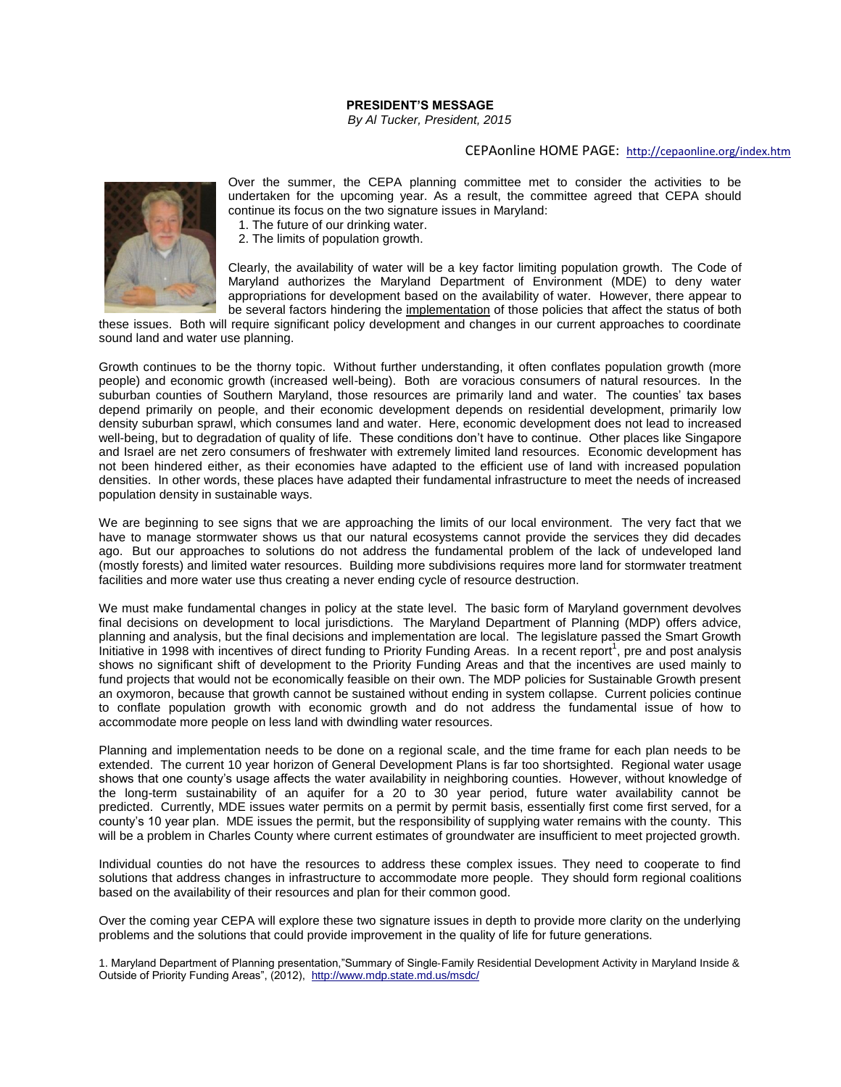## **PRESIDENT'S MESSAGE**

*By Al Tucker, President, 2015*

## CEPAonline HOME PAGE: <http://cepaonline.org/index.htm>



Over the summer, the CEPA planning committee met to consider the activities to be undertaken for the upcoming year. As a result, the committee agreed that CEPA should continue its focus on the two signature issues in Maryland:

1. The future of our drinking water.

2. The limits of population growth.

Clearly, the availability of water will be a key factor limiting population growth. The Code of Maryland authorizes the Maryland Department of Environment (MDE) to deny water appropriations for development based on the availability of water. However, there appear to be several factors hindering the implementation of those policies that affect the status of both

these issues. Both will require significant policy development and changes in our current approaches to coordinate sound land and water use planning.

Growth continues to be the thorny topic. Without further understanding, it often conflates population growth (more people) and economic growth (increased well-being). Both are voracious consumers of natural resources. In the suburban counties of Southern Maryland, those resources are primarily land and water. The counties' tax bases depend primarily on people, and their economic development depends on residential development, primarily low density suburban sprawl, which consumes land and water. Here, economic development does not lead to increased well-being, but to degradation of quality of life. These conditions don't have to continue. Other places like Singapore and Israel are net zero consumers of freshwater with extremely limited land resources. Economic development has not been hindered either, as their economies have adapted to the efficient use of land with increased population densities. In other words, these places have adapted their fundamental infrastructure to meet the needs of increased population density in sustainable ways.

We are beginning to see signs that we are approaching the limits of our local environment. The very fact that we have to manage stormwater shows us that our natural ecosystems cannot provide the services they did decades ago. But our approaches to solutions do not address the fundamental problem of the lack of undeveloped land (mostly forests) and limited water resources. Building more subdivisions requires more land for stormwater treatment facilities and more water use thus creating a never ending cycle of resource destruction.

We must make fundamental changes in policy at the state level. The basic form of Maryland government devolves final decisions on development to local jurisdictions. The Maryland Department of Planning (MDP) offers advice, planning and analysis, but the final decisions and implementation are local. The legislature passed the Smart Growth Initiative in 1998 with incentives of direct funding to Priority Funding Areas. In a recent report<sup>1</sup>, pre and post analysis shows no significant shift of development to the Priority Funding Areas and that the incentives are used mainly to fund projects that would not be economically feasible on their own. The MDP policies for Sustainable Growth present an oxymoron, because that growth cannot be sustained without ending in system collapse. Current policies continue to conflate population growth with economic growth and do not address the fundamental issue of how to accommodate more people on less land with dwindling water resources.

Planning and implementation needs to be done on a regional scale, and the time frame for each plan needs to be extended. The current 10 year horizon of General Development Plans is far too shortsighted. Regional water usage shows that one county's usage affects the water availability in neighboring counties. However, without knowledge of the long-term sustainability of an aquifer for a 20 to 30 year period, future water availability cannot be predicted. Currently, MDE issues water permits on a permit by permit basis, essentially first come first served, for a county's 10 year plan. MDE issues the permit, but the responsibility of supplying water remains with the county. This will be a problem in Charles County where current estimates of groundwater are insufficient to meet projected growth.

Individual counties do not have the resources to address these complex issues. They need to cooperate to find solutions that address changes in infrastructure to accommodate more people. They should form regional coalitions based on the availability of their resources and plan for their common good.

Over the coming year CEPA will explore these two signature issues in depth to provide more clarity on the underlying problems and the solutions that could provide improvement in the quality of life for future generations.

1. Maryland Department of Planning presentation,"Summary of Single‐Family Residential Development Activity in Maryland Inside & Outside of Priority Funding Areas", (2012),<http://www.mdp.state.md.us/msdc/>